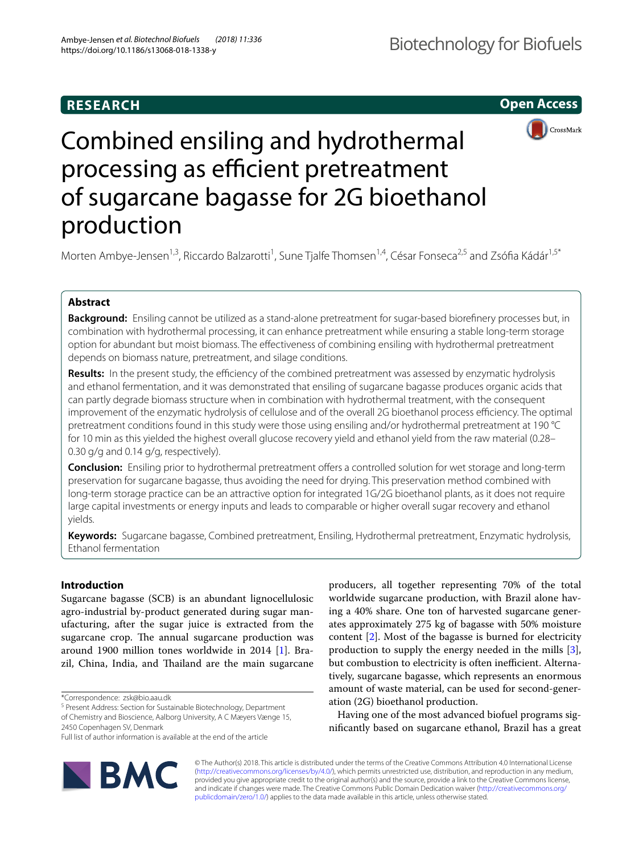## **RESEARCH**

**Open Access**



# Combined ensiling and hydrothermal processing as efficient pretreatment of sugarcane bagasse for 2G bioethanol production

Morten Ambye-Jensen<sup>1,3</sup>, Riccardo Balzarotti<sup>1</sup>, Sune Tjalfe Thomsen<sup>1,4</sup>, César Fonseca<sup>2,5</sup> and Zsófia Kádár<sup>1,5\*</sup>

## **Abstract**

**Background:** Ensiling cannot be utilized as a stand-alone pretreatment for sugar-based biorefnery processes but, in combination with hydrothermal processing, it can enhance pretreatment while ensuring a stable long-term storage option for abundant but moist biomass. The efectiveness of combining ensiling with hydrothermal pretreatment depends on biomass nature, pretreatment, and silage conditions.

Results: In the present study, the efficiency of the combined pretreatment was assessed by enzymatic hydrolysis and ethanol fermentation, and it was demonstrated that ensiling of sugarcane bagasse produces organic acids that can partly degrade biomass structure when in combination with hydrothermal treatment, with the consequent improvement of the enzymatic hydrolysis of cellulose and of the overall 2G bioethanol process efficiency. The optimal pretreatment conditions found in this study were those using ensiling and/or hydrothermal pretreatment at 190 °C for 10 min as this yielded the highest overall glucose recovery yield and ethanol yield from the raw material (0.28– 0.30 g/g and 0.14 g/g, respectively).

**Conclusion:** Ensiling prior to hydrothermal pretreatment offers a controlled solution for wet storage and long-term preservation for sugarcane bagasse, thus avoiding the need for drying. This preservation method combined with long-term storage practice can be an attractive option for integrated 1G/2G bioethanol plants, as it does not require large capital investments or energy inputs and leads to comparable or higher overall sugar recovery and ethanol yields.

**Keywords:** Sugarcane bagasse, Combined pretreatment, Ensiling, Hydrothermal pretreatment, Enzymatic hydrolysis, Ethanol fermentation

## **Introduction**

Sugarcane bagasse (SCB) is an abundant lignocellulosic agro-industrial by-product generated during sugar manufacturing, after the sugar juice is extracted from the sugarcane crop. The annual sugarcane production was around 1900 million tones worldwide in 2014 [[1](#page-9-0)]. Brazil, China, India, and Thailand are the main sugarcane

2450 Copenhagen SV, Denmark

Full list of author information is available at the end of the article



producers, all together representing 70% of the total worldwide sugarcane production, with Brazil alone having a 40% share. One ton of harvested sugarcane generates approximately 275 kg of bagasse with 50% moisture content [\[2\]](#page-9-1). Most of the bagasse is burned for electricity production to supply the energy needed in the mills [\[3](#page-9-2)], but combustion to electricity is often inefficient. Alternatively, sugarcane bagasse, which represents an enormous amount of waste material, can be used for second-generation (2G) bioethanol production.

Having one of the most advanced biofuel programs signifcantly based on sugarcane ethanol, Brazil has a great

© The Author(s) 2018. This article is distributed under the terms of the Creative Commons Attribution 4.0 International License [\(http://creativecommons.org/licenses/by/4.0/\)](http://creativecommons.org/licenses/by/4.0/), which permits unrestricted use, distribution, and reproduction in any medium, provided you give appropriate credit to the original author(s) and the source, provide a link to the Creative Commons license, and indicate if changes were made. The Creative Commons Public Domain Dedication waiver ([http://creativecommons.org/](http://creativecommons.org/publicdomain/zero/1.0/) [publicdomain/zero/1.0/](http://creativecommons.org/publicdomain/zero/1.0/)) applies to the data made available in this article, unless otherwise stated.

<sup>\*</sup>Correspondence: zsk@bio.aau.dk

<sup>&</sup>lt;sup>5</sup> Present Address: Section for Sustainable Biotechnology, Department of Chemistry and Bioscience, Aalborg University, A C Mæyers Vænge 15,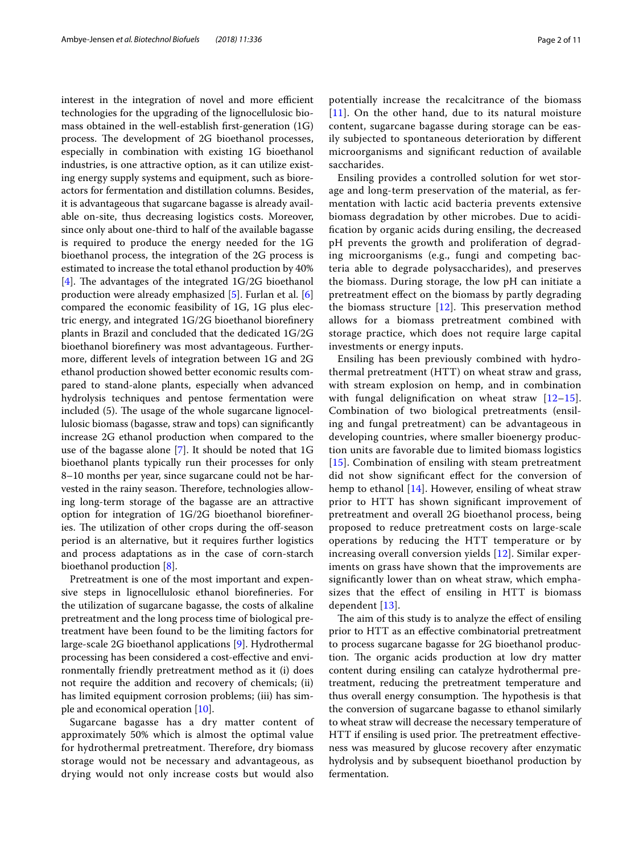interest in the integration of novel and more efficient technologies for the upgrading of the lignocellulosic biomass obtained in the well-establish frst-generation (1G) process. The development of 2G bioethanol processes, especially in combination with existing 1G bioethanol industries, is one attractive option, as it can utilize existing energy supply systems and equipment, such as bioreactors for fermentation and distillation columns. Besides, it is advantageous that sugarcane bagasse is already available on-site, thus decreasing logistics costs. Moreover, since only about one-third to half of the available bagasse is required to produce the energy needed for the 1G bioethanol process, the integration of the 2G process is estimated to increase the total ethanol production by 40% [[4\]](#page-9-3). The advantages of the integrated  $1G/2G$  bioethanol production were already emphasized [\[5](#page-9-4)]. Furlan et al. [\[6](#page-9-5)] compared the economic feasibility of 1G, 1G plus electric energy, and integrated 1G/2G bioethanol biorefnery plants in Brazil and concluded that the dedicated 1G/2G bioethanol biorefnery was most advantageous. Furthermore, diferent levels of integration between 1G and 2G ethanol production showed better economic results compared to stand-alone plants, especially when advanced hydrolysis techniques and pentose fermentation were included (5). The usage of the whole sugarcane lignocellulosic biomass (bagasse, straw and tops) can signifcantly increase 2G ethanol production when compared to the use of the bagasse alone [[7](#page-9-6)]. It should be noted that 1G bioethanol plants typically run their processes for only 8–10 months per year, since sugarcane could not be harvested in the rainy season. Therefore, technologies allowing long-term storage of the bagasse are an attractive option for integration of 1G/2G bioethanol biorefneries. The utilization of other crops during the off-season period is an alternative, but it requires further logistics and process adaptations as in the case of corn-starch bioethanol production [\[8](#page-9-7)].

Pretreatment is one of the most important and expensive steps in lignocellulosic ethanol biorefneries. For the utilization of sugarcane bagasse, the costs of alkaline pretreatment and the long process time of biological pretreatment have been found to be the limiting factors for large-scale 2G bioethanol applications [\[9](#page-9-8)]. Hydrothermal processing has been considered a cost-efective and environmentally friendly pretreatment method as it (i) does not require the addition and recovery of chemicals; (ii) has limited equipment corrosion problems; (iii) has simple and economical operation [\[10](#page-9-9)].

Sugarcane bagasse has a dry matter content of approximately 50% which is almost the optimal value for hydrothermal pretreatment. Therefore, dry biomass storage would not be necessary and advantageous, as drying would not only increase costs but would also potentially increase the recalcitrance of the biomass [[11](#page-9-10)]. On the other hand, due to its natural moisture content, sugarcane bagasse during storage can be easily subjected to spontaneous deterioration by diferent microorganisms and signifcant reduction of available saccharides.

Ensiling provides a controlled solution for wet storage and long-term preservation of the material, as fermentation with lactic acid bacteria prevents extensive biomass degradation by other microbes. Due to acidifcation by organic acids during ensiling, the decreased pH prevents the growth and proliferation of degrading microorganisms (e.g., fungi and competing bacteria able to degrade polysaccharides), and preserves the biomass. During storage, the low pH can initiate a pretreatment efect on the biomass by partly degrading the biomass structure  $[12]$  $[12]$ . This preservation method allows for a biomass pretreatment combined with storage practice, which does not require large capital investments or energy inputs.

Ensiling has been previously combined with hydrothermal pretreatment (HTT) on wheat straw and grass, with stream explosion on hemp, and in combination with fungal delignification on wheat straw  $[12-15]$  $[12-15]$  $[12-15]$ . Combination of two biological pretreatments (ensiling and fungal pretreatment) can be advantageous in developing countries, where smaller bioenergy production units are favorable due to limited biomass logistics [[15](#page-9-12)]. Combination of ensiling with steam pretreatment did not show signifcant efect for the conversion of hemp to ethanol [\[14\]](#page-9-13). However, ensiling of wheat straw prior to HTT has shown signifcant improvement of pretreatment and overall 2G bioethanol process, being proposed to reduce pretreatment costs on large-scale operations by reducing the HTT temperature or by increasing overall conversion yields [\[12\]](#page-9-11). Similar experiments on grass have shown that the improvements are signifcantly lower than on wheat straw, which emphasizes that the efect of ensiling in HTT is biomass dependent [\[13](#page-9-14)].

The aim of this study is to analyze the effect of ensiling prior to HTT as an efective combinatorial pretreatment to process sugarcane bagasse for 2G bioethanol production. The organic acids production at low dry matter content during ensiling can catalyze hydrothermal pretreatment, reducing the pretreatment temperature and thus overall energy consumption. The hypothesis is that the conversion of sugarcane bagasse to ethanol similarly to wheat straw will decrease the necessary temperature of HTT if ensiling is used prior. The pretreatment effectiveness was measured by glucose recovery after enzymatic hydrolysis and by subsequent bioethanol production by fermentation.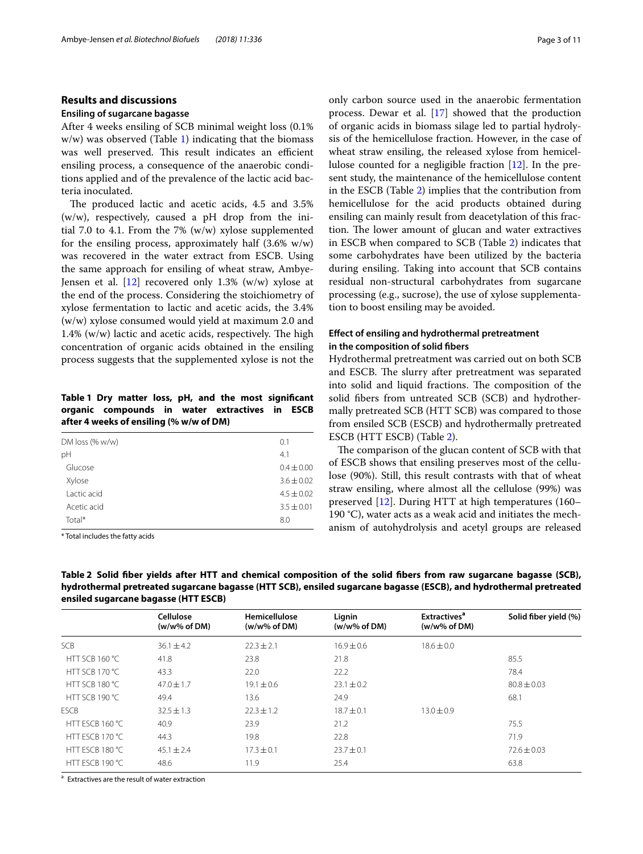## **Results and discussions**

## **Ensiling of sugarcane bagasse**

After 4 weeks ensiling of SCB minimal weight loss (0.1% w/w) was observed (Table [1](#page-2-0)) indicating that the biomass was well preserved. This result indicates an efficient ensiling process, a consequence of the anaerobic conditions applied and of the prevalence of the lactic acid bacteria inoculated.

The produced lactic and acetic acids, 4.5 and 3.5% (w/w), respectively, caused a pH drop from the initial 7.0 to 4.1. From the 7% (w/w) xylose supplemented for the ensiling process, approximately half  $(3.6\% \text{ w/w})$ was recovered in the water extract from ESCB. Using the same approach for ensiling of wheat straw, Ambye-Jensen et al.  $[12]$  recovered only 1.3% (w/w) xylose at the end of the process. Considering the stoichiometry of xylose fermentation to lactic and acetic acids, the 3.4% (w/w) xylose consumed would yield at maximum 2.0 and  $1.4\%$  (w/w) lactic and acetic acids, respectively. The high concentration of organic acids obtained in the ensiling process suggests that the supplemented xylose is not the

<span id="page-2-0"></span>**Table 1 Dry matter loss, pH, and the most signifcant organic compounds in water extractives in ESCB after 4 weeks of ensiling (% w/w of DM)**

| DM loss $% w/w$ | 0.1            |
|-----------------|----------------|
| pH              | 4.1            |
| Glucose         | $0.4 \pm 0.00$ |
| Xylose          | $3.6 \pm 0.02$ |
| Lactic acid     | $4.5 \pm 0.02$ |
| Acetic acid     | $3.5 \pm 0.01$ |
| Total*          | 8.0            |
|                 |                |

\* Total includes the fatty acids

only carbon source used in the anaerobic fermentation process. Dewar et al. [\[17](#page-9-15)] showed that the production of organic acids in biomass silage led to partial hydrolysis of the hemicellulose fraction. However, in the case of wheat straw ensiling, the released xylose from hemicellulose counted for a negligible fraction [\[12\]](#page-9-11). In the present study, the maintenance of the hemicellulose content in the ESCB (Table [2](#page-2-1)) implies that the contribution from hemicellulose for the acid products obtained during ensiling can mainly result from deacetylation of this fraction. The lower amount of glucan and water extractives in ESCB when compared to SCB (Table [2\)](#page-2-1) indicates that some carbohydrates have been utilized by the bacteria during ensiling. Taking into account that SCB contains residual non-structural carbohydrates from sugarcane processing (e.g., sucrose), the use of xylose supplementation to boost ensiling may be avoided.

## **Efect of ensiling and hydrothermal pretreatment in the composition of solid fbers**

Hydrothermal pretreatment was carried out on both SCB and ESCB. The slurry after pretreatment was separated into solid and liquid fractions. The composition of the solid fbers from untreated SCB (SCB) and hydrothermally pretreated SCB (HTT SCB) was compared to those from ensiled SCB (ESCB) and hydrothermally pretreated ESCB (HTT ESCB) (Table [2\)](#page-2-1).

The comparison of the glucan content of SCB with that of ESCB shows that ensiling preserves most of the cellulose (90%). Still, this result contrasts with that of wheat straw ensiling, where almost all the cellulose (99%) was preserved [\[12](#page-9-11)]. During HTT at high temperatures (160– 190 °C), water acts as a weak acid and initiates the mechanism of autohydrolysis and acetyl groups are released

|                 | $\frac{1}{2}$                         |                                  |                           |                                                            |                       |  |  |
|-----------------|---------------------------------------|----------------------------------|---------------------------|------------------------------------------------------------|-----------------------|--|--|
|                 | Cellulose<br>$(w/w\% \text{ of } DM)$ | Hemicellulose<br>$(w/w\%$ of DM) | Lignin<br>$(w/w\%$ of DM) | <b>Extractives<sup>a</sup></b><br>$(w/w\% \text{ of } DM)$ | Solid fiber yield (%) |  |  |
| SCB             | $36.1 \pm 4.2$                        | $22.3 \pm 2.1$                   | $16.9 \pm 0.6$            | $18.6 \pm 0.0$                                             |                       |  |  |
| HTT SCB 160 °C  | 41.8                                  | 23.8                             | 21.8                      |                                                            | 85.5                  |  |  |
| HTT SCB 170 °C  | 43.3                                  | 22.0                             | 22.2                      |                                                            | 78.4                  |  |  |
| HTT SCB 180 °C  | $47.0 \pm 1.7$                        | $19.1 \pm 0.6$                   | $23.1 \pm 0.2$            |                                                            | $80.8 \pm 0.03$       |  |  |
| HTT SCB 190 °C  | 49.4                                  | 13.6                             | 24.9                      |                                                            | 68.1                  |  |  |
| <b>ESCB</b>     | $32.5 \pm 1.3$                        | $22.3 \pm 1.2$                   | $18.7 \pm 0.1$            | $13.0 \pm 0.9$                                             |                       |  |  |
| HTT ESCB 160 °C | 40.9                                  | 23.9                             | 21.2                      |                                                            | 75.5                  |  |  |
| HTT ESCB 170 °C | 44.3                                  | 19.8                             | 22.8                      |                                                            | 71.9                  |  |  |
| HTT FSCB 180 °C | $45.1 \pm 2.4$                        | $17.3 \pm 0.1$                   | $23.7 \pm 0.1$            |                                                            | $72.6 \pm 0.03$       |  |  |
| HTT ESCB 190 °C | 48.6                                  | 11.9                             | 25.4                      |                                                            | 63.8                  |  |  |

<span id="page-2-1"></span>**Table 2 Solid fber yields after HTT and chemical composition of the solid fbers from raw sugarcane bagasse (SCB), hydrothermal pretreated sugarcane bagasse (HTT SCB), ensiled sugarcane bagasse (ESCB), and hydrothermal pretreated ensiled sugarcane bagasse (HTT ESCB)**

<sup>a</sup> Extractives are the result of water extraction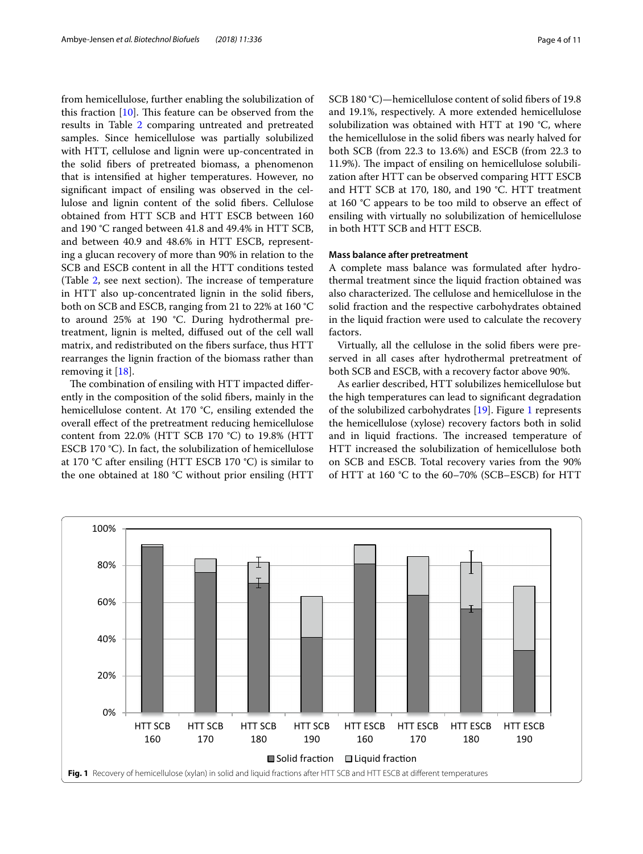from hemicellulose, further enabling the solubilization of this fraction  $[10]$  $[10]$ . This feature can be observed from the results in Table [2](#page-2-1) comparing untreated and pretreated samples. Since hemicellulose was partially solubilized with HTT, cellulose and lignin were up-concentrated in the solid fbers of pretreated biomass, a phenomenon that is intensifed at higher temperatures. However, no signifcant impact of ensiling was observed in the cellulose and lignin content of the solid fbers. Cellulose obtained from HTT SCB and HTT ESCB between 160 and 190 °C ranged between 41.8 and 49.4% in HTT SCB, and between 40.9 and 48.6% in HTT ESCB, representing a glucan recovery of more than 90% in relation to the SCB and ESCB content in all the HTT conditions tested (Table  $2$ , see next section). The increase of temperature in HTT also up-concentrated lignin in the solid fbers, both on SCB and ESCB, ranging from 21 to 22% at 160 °C to around 25% at 190 °C. During hydrothermal pretreatment, lignin is melted, difused out of the cell wall matrix, and redistributed on the fbers surface, thus HTT rearranges the lignin fraction of the biomass rather than removing it [\[18](#page-9-16)].

The combination of ensiling with HTT impacted differently in the composition of the solid fbers, mainly in the hemicellulose content. At 170 °C, ensiling extended the overall efect of the pretreatment reducing hemicellulose content from 22.0% (HTT SCB 170 °C) to 19.8% (HTT ESCB 170 °C). In fact, the solubilization of hemicellulose at 170 °C after ensiling (HTT ESCB 170 °C) is similar to the one obtained at 180 °C without prior ensiling (HTT SCB 180 °C)—hemicellulose content of solid fbers of 19.8 and 19.1%, respectively. A more extended hemicellulose solubilization was obtained with HTT at 190 °C, where the hemicellulose in the solid fbers was nearly halved for both SCB (from 22.3 to 13.6%) and ESCB (from 22.3 to 11.9%). The impact of ensiling on hemicellulose solubilization after HTT can be observed comparing HTT ESCB and HTT SCB at 170, 180, and 190 °C. HTT treatment at 160 °C appears to be too mild to observe an efect of ensiling with virtually no solubilization of hemicellulose in both HTT SCB and HTT ESCB.

## **Mass balance after pretreatment**

A complete mass balance was formulated after hydrothermal treatment since the liquid fraction obtained was also characterized. The cellulose and hemicellulose in the solid fraction and the respective carbohydrates obtained in the liquid fraction were used to calculate the recovery factors.

Virtually, all the cellulose in the solid fbers were preserved in all cases after hydrothermal pretreatment of both SCB and ESCB, with a recovery factor above 90%.

As earlier described, HTT solubilizes hemicellulose but the high temperatures can lead to signifcant degradation of the solubilized carbohydrates [[19\]](#page-9-17). Figure [1](#page-3-0) represents the hemicellulose (xylose) recovery factors both in solid and in liquid fractions. The increased temperature of HTT increased the solubilization of hemicellulose both on SCB and ESCB. Total recovery varies from the 90% of HTT at 160 °C to the 60–70% (SCB–ESCB) for HTT

<span id="page-3-0"></span>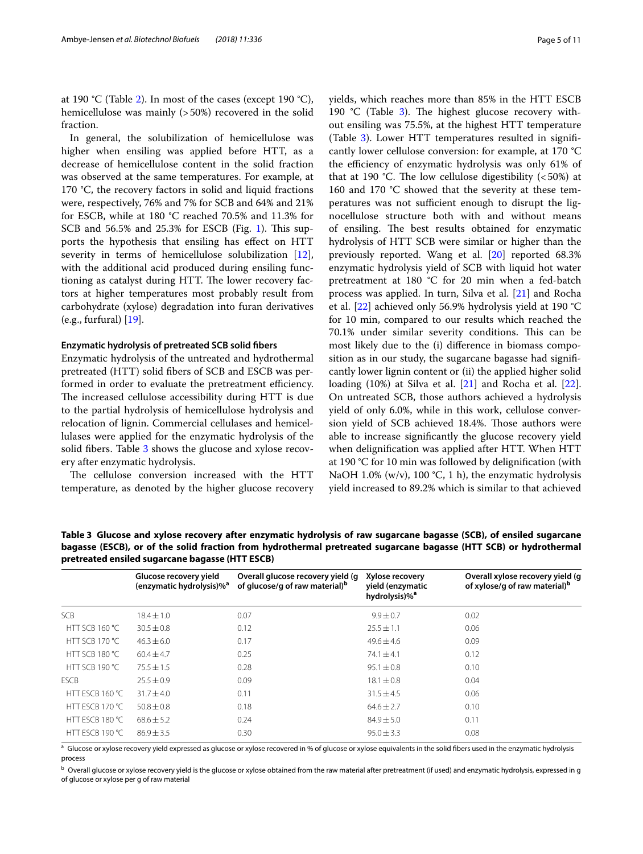at 190 °C (Table [2\)](#page-2-1). In most of the cases (except 190 °C), hemicellulose was mainly (>50%) recovered in the solid fraction.

In general, the solubilization of hemicellulose was higher when ensiling was applied before HTT, as a decrease of hemicellulose content in the solid fraction was observed at the same temperatures. For example, at 170 °C, the recovery factors in solid and liquid fractions were, respectively, 76% and 7% for SCB and 64% and 21% for ESCB, while at 180 °C reached 70.5% and 11.3% for SCB and  $56.5\%$  and  $25.3\%$  for ESCB (Fig. [1\)](#page-3-0). This supports the hypothesis that ensiling has efect on HTT severity in terms of hemicellulose solubilization [\[12](#page-9-11)], with the additional acid produced during ensiling functioning as catalyst during HTT. The lower recovery factors at higher temperatures most probably result from carbohydrate (xylose) degradation into furan derivatives (e.g., furfural) [\[19](#page-9-17)].

## **Enzymatic hydrolysis of pretreated SCB solid fbers**

Enzymatic hydrolysis of the untreated and hydrothermal pretreated (HTT) solid fbers of SCB and ESCB was performed in order to evaluate the pretreatment efficiency. The increased cellulose accessibility during HTT is due to the partial hydrolysis of hemicellulose hydrolysis and relocation of lignin. Commercial cellulases and hemicellulases were applied for the enzymatic hydrolysis of the solid fibers. Table [3](#page-4-0) shows the glucose and xylose recovery after enzymatic hydrolysis.

The cellulose conversion increased with the HTT temperature, as denoted by the higher glucose recovery yields, which reaches more than 85% in the HTT ESCB 190  $°C$  (Table [3\)](#page-4-0). The highest glucose recovery without ensiling was 75.5%, at the highest HTT temperature (Table [3](#page-4-0)). Lower HTT temperatures resulted in signifcantly lower cellulose conversion: for example, at 170 °C the efficiency of enzymatic hydrolysis was only 61% of that at 190 °C. The low cellulose digestibility  $(<50\%)$  at 160 and 170 °C showed that the severity at these temperatures was not sufficient enough to disrupt the lignocellulose structure both with and without means of ensiling. The best results obtained for enzymatic hydrolysis of HTT SCB were similar or higher than the previously reported. Wang et al. [\[20](#page-9-18)] reported 68.3% enzymatic hydrolysis yield of SCB with liquid hot water pretreatment at 180 °C for 20 min when a fed-batch process was applied. In turn, Silva et al. [\[21\]](#page-9-19) and Rocha et al. [\[22\]](#page-9-20) achieved only 56.9% hydrolysis yield at 190 °C for 10 min, compared to our results which reached the 70.1% under similar severity conditions. This can be most likely due to the (i) diference in biomass composition as in our study, the sugarcane bagasse had signifcantly lower lignin content or (ii) the applied higher solid loading (10%) at Silva et al. [\[21](#page-9-19)] and Rocha et al. [\[22](#page-9-20)]. On untreated SCB, those authors achieved a hydrolysis yield of only 6.0%, while in this work, cellulose conversion yield of SCB achieved 18.4%. Those authors were able to increase signifcantly the glucose recovery yield when delignifcation was applied after HTT. When HTT at 190 °C for 10 min was followed by delignifcation (with NaOH 1.0% (w/v), 100 °C, 1 h), the enzymatic hydrolysis yield increased to 89.2% which is similar to that achieved

<span id="page-4-0"></span>**Table 3 Glucose and xylose recovery after enzymatic hydrolysis of raw sugarcane bagasse (SCB), of ensiled sugarcane bagasse (ESCB), or of the solid fraction from hydrothermal pretreated sugarcane bagasse (HTT SCB) or hydrothermal pretreated ensiled sugarcane bagasse (HTT ESCB)**

| Glucose recovery yield<br>(enzymatic hydrolysis)% <sup>a</sup> | Overall glucose recovery yield (g)<br>of glucose/g of raw material) <sup>b</sup> | Xylose recovery<br>yield (enzymatic | Overall xylose recovery yield (q<br>of xylose/g of raw material) <sup>b</sup> |
|----------------------------------------------------------------|----------------------------------------------------------------------------------|-------------------------------------|-------------------------------------------------------------------------------|
| $18.4 \pm 1.0$                                                 | 0.07                                                                             | $9.9 \pm 0.7$                       | 0.02                                                                          |
| $30.5 + 0.8$                                                   | 0.12                                                                             | $25.5 \pm 1.1$                      | 0.06                                                                          |
| $46.3 + 6.0$                                                   | 0.17                                                                             | $49.6 + 4.6$                        | 0.09                                                                          |
| $60.4 + 4.7$                                                   | 0.25                                                                             | $74.1 + 4.1$                        | 0.12                                                                          |
| $75.5 \pm 1.5$                                                 | 0.28                                                                             | $95.1 \pm 0.8$                      | 0.10                                                                          |
| $75.5 \pm 0.9$                                                 | 0.09                                                                             | $18.1 \pm 0.8$                      | 0.04                                                                          |
| $31.7 + 4.0$                                                   | 0.11                                                                             | $31.5 \pm 4.5$                      | 0.06                                                                          |
| $50.8 + 0.8$                                                   | 0.18                                                                             | $64.6 \pm 2.7$                      | 0.10                                                                          |
| $68.6 + 5.2$                                                   | 0.24                                                                             | $84.9 \pm 5.0$                      | 0.11                                                                          |
| $86.9 + 3.5$                                                   | 0.30                                                                             | $95.0 \pm 3.3$                      | 0.08                                                                          |
|                                                                |                                                                                  |                                     | hydrolysis)% <sup>a</sup>                                                     |

<sup>a</sup> Glucose or xylose recovery yield expressed as glucose or xylose recovered in % of glucose or xylose equivalents in the solid fibers used in the enzymatic hydrolysis process

**b** Overall glucose or xylose recovery yield is the glucose or xylose obtained from the raw material after pretreatment (if used) and enzymatic hydrolysis, expressed in g of glucose or xylose per g of raw material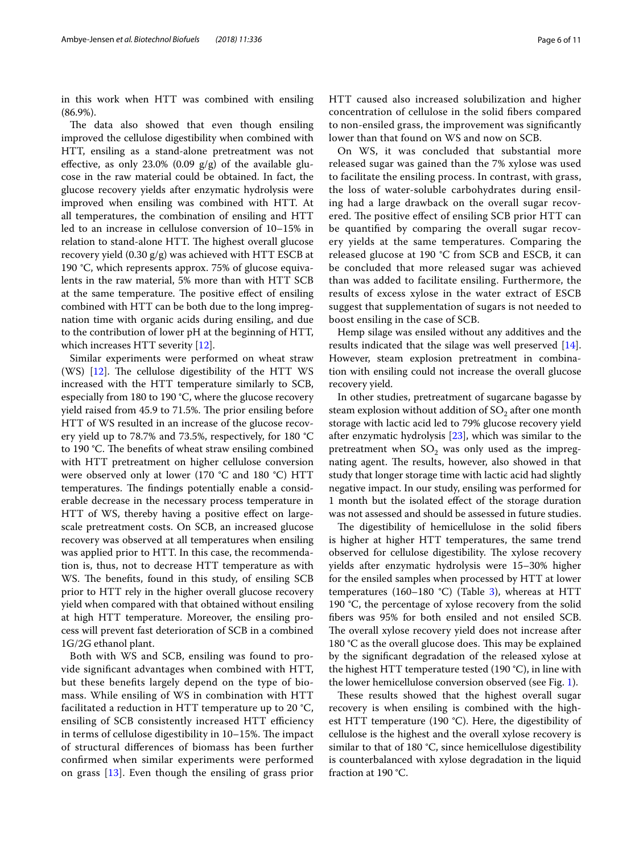in this work when HTT was combined with ensiling (86.9%).

The data also showed that even though ensiling improved the cellulose digestibility when combined with HTT, ensiling as a stand-alone pretreatment was not effective, as only 23.0% (0.09  $g/g$ ) of the available glucose in the raw material could be obtained. In fact, the glucose recovery yields after enzymatic hydrolysis were improved when ensiling was combined with HTT. At all temperatures, the combination of ensiling and HTT led to an increase in cellulose conversion of 10–15% in relation to stand-alone HTT. The highest overall glucose recovery yield (0.30 g/g) was achieved with HTT ESCB at 190 °C, which represents approx. 75% of glucose equivalents in the raw material, 5% more than with HTT SCB at the same temperature. The positive effect of ensiling combined with HTT can be both due to the long impregnation time with organic acids during ensiling, and due to the contribution of lower pH at the beginning of HTT, which increases HTT severity [[12\]](#page-9-11).

Similar experiments were performed on wheat straw (WS)  $[12]$  $[12]$ . The cellulose digestibility of the HTT WS increased with the HTT temperature similarly to SCB, especially from 180 to 190 °C, where the glucose recovery yield raised from 45.9 to 71.5%. The prior ensiling before HTT of WS resulted in an increase of the glucose recovery yield up to 78.7% and 73.5%, respectively, for 180 °C to 190 °C. The benefits of wheat straw ensiling combined with HTT pretreatment on higher cellulose conversion were observed only at lower (170  $\degree$ C and 180  $\degree$ C) HTT temperatures. The findings potentially enable a considerable decrease in the necessary process temperature in HTT of WS, thereby having a positive efect on largescale pretreatment costs. On SCB, an increased glucose recovery was observed at all temperatures when ensiling was applied prior to HTT. In this case, the recommendation is, thus, not to decrease HTT temperature as with WS. The benefits, found in this study, of ensiling SCB prior to HTT rely in the higher overall glucose recovery yield when compared with that obtained without ensiling at high HTT temperature. Moreover, the ensiling process will prevent fast deterioration of SCB in a combined 1G/2G ethanol plant.

Both with WS and SCB, ensiling was found to provide signifcant advantages when combined with HTT, but these benefts largely depend on the type of biomass. While ensiling of WS in combination with HTT facilitated a reduction in HTT temperature up to 20 °C, ensiling of SCB consistently increased HTT efficiency in terms of cellulose digestibility in  $10-15$ %. The impact of structural diferences of biomass has been further confrmed when similar experiments were performed on grass [[13](#page-9-14)]. Even though the ensiling of grass prior

HTT caused also increased solubilization and higher concentration of cellulose in the solid fbers compared to non-ensiled grass, the improvement was signifcantly lower than that found on WS and now on SCB.

On WS, it was concluded that substantial more released sugar was gained than the 7% xylose was used to facilitate the ensiling process. In contrast, with grass, the loss of water-soluble carbohydrates during ensiling had a large drawback on the overall sugar recovered. The positive effect of ensiling SCB prior HTT can be quantifed by comparing the overall sugar recovery yields at the same temperatures. Comparing the released glucose at 190 °C from SCB and ESCB, it can be concluded that more released sugar was achieved than was added to facilitate ensiling. Furthermore, the results of excess xylose in the water extract of ESCB suggest that supplementation of sugars is not needed to boost ensiling in the case of SCB.

Hemp silage was ensiled without any additives and the results indicated that the silage was well preserved [\[14](#page-9-13)]. However, steam explosion pretreatment in combination with ensiling could not increase the overall glucose recovery yield.

In other studies, pretreatment of sugarcane bagasse by steam explosion without addition of  $SO_2$  after one month storage with lactic acid led to 79% glucose recovery yield after enzymatic hydrolysis [[23\]](#page-9-21), which was similar to the pretreatment when  $SO_2$  was only used as the impregnating agent. The results, however, also showed in that study that longer storage time with lactic acid had slightly negative impact. In our study, ensiling was performed for 1 month but the isolated efect of the storage duration was not assessed and should be assessed in future studies.

The digestibility of hemicellulose in the solid fibers is higher at higher HTT temperatures, the same trend observed for cellulose digestibility. The xylose recovery yields after enzymatic hydrolysis were 15–30% higher for the ensiled samples when processed by HTT at lower temperatures (160–180 °C) (Table [3](#page-4-0)), whereas at HTT 190 °C, the percentage of xylose recovery from the solid fbers was 95% for both ensiled and not ensiled SCB. The overall xylose recovery yield does not increase after 180  $°C$  as the overall glucose does. This may be explained by the signifcant degradation of the released xylose at the highest HTT temperature tested (190 °C), in line with the lower hemicellulose conversion observed (see Fig. [1](#page-3-0)).

These results showed that the highest overall sugar recovery is when ensiling is combined with the highest HTT temperature (190 °C). Here, the digestibility of cellulose is the highest and the overall xylose recovery is similar to that of 180 °C, since hemicellulose digestibility is counterbalanced with xylose degradation in the liquid fraction at 190 °C.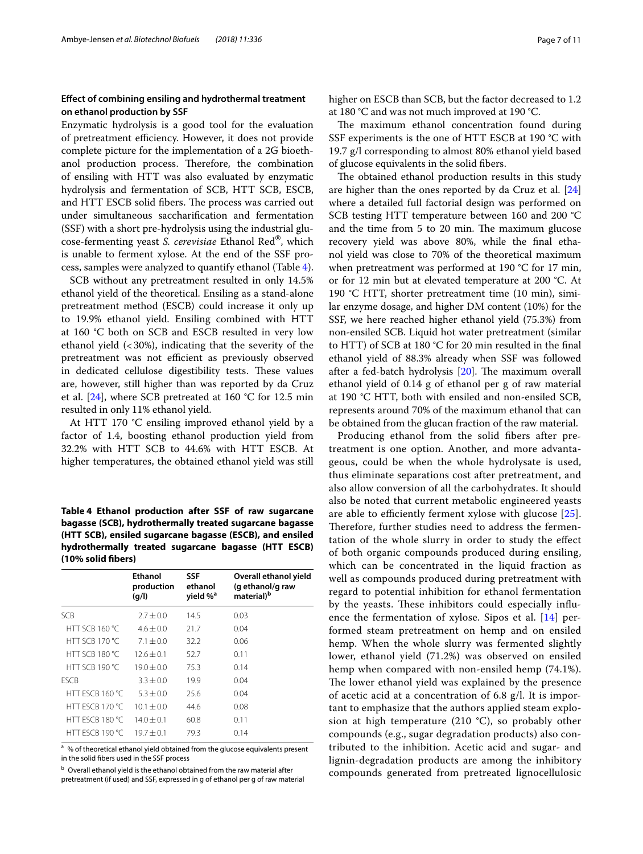## **Efect of combining ensiling and hydrothermal treatment on ethanol production by SSF**

Enzymatic hydrolysis is a good tool for the evaluation of pretreatment efficiency. However, it does not provide complete picture for the implementation of a 2G bioethanol production process. Therefore, the combination of ensiling with HTT was also evaluated by enzymatic hydrolysis and fermentation of SCB, HTT SCB, ESCB, and HTT ESCB solid fibers. The process was carried out under simultaneous saccharifcation and fermentation (SSF) with a short pre-hydrolysis using the industrial glucose-fermenting yeast *S. cerevisiae* Ethanol Red®, which is unable to ferment xylose. At the end of the SSF process, samples were analyzed to quantify ethanol (Table [4](#page-6-0)).

SCB without any pretreatment resulted in only 14.5% ethanol yield of the theoretical. Ensiling as a stand-alone pretreatment method (ESCB) could increase it only up to 19.9% ethanol yield. Ensiling combined with HTT at 160 °C both on SCB and ESCB resulted in very low ethanol yield  $\left($  < 30%), indicating that the severity of the pretreatment was not efficient as previously observed in dedicated cellulose digestibility tests. These values are, however, still higher than was reported by da Cruz et al. [\[24](#page-9-22)], where SCB pretreated at 160 °C for 12.5 min resulted in only 11% ethanol yield.

At HTT 170 °C ensiling improved ethanol yield by a factor of 1.4, boosting ethanol production yield from 32.2% with HTT SCB to 44.6% with HTT ESCB. At higher temperatures, the obtained ethanol yield was still

<span id="page-6-0"></span>**Table 4 Ethanol production after SSF of raw sugarcane bagasse (SCB), hydrothermally treated sugarcane bagasse (HTT SCB), ensiled sugarcane bagasse (ESCB), and ensiled hydrothermally treated sugarcane bagasse (HTT ESCB) (10% solid fbers)**

|                       | Ethanol<br>production<br>(q/l) | <b>SSF</b><br>ethanol<br>yield % <sup>a</sup> | Overall ethanol yield<br>(g ethanol/g raw<br>material) <sup>b</sup> |
|-----------------------|--------------------------------|-----------------------------------------------|---------------------------------------------------------------------|
| SCB.                  | $2.7 + 0.0$                    | 14.5                                          | 0.03                                                                |
| HTT SCB 160 °C        | $4.6 + 0.0$                    | 21.7                                          | 0.04                                                                |
| <b>HTT SCB 170 °C</b> | $7.1 \pm 0.0$                  | 32.2                                          | 0.06                                                                |
| HTT SCB 180 °C        | $12.6 \pm 0.1$                 | 52.7                                          | 0.11                                                                |
| HTT SCB 190 °C        | $19.0 \pm 0.0$                 | 75.3                                          | 0.14                                                                |
| <b>FSCB</b>           | $3.3 + 0.0$                    | 19.9                                          | 0.04                                                                |
| HTT ESCB 160 °C       | $5.3 + 0.0$                    | 25.6                                          | 0.04                                                                |
| HTT FSCB 170 °C       | $101 + 00$                     | 44.6                                          | 0.08                                                                |
| HTT FSCB 180 °C       | $140 + 01$                     | 60.8                                          | 0.11                                                                |
| HTT FSCB 190 °C       | $19.7 + 0.1$                   | 79.3                                          | 0.14                                                                |

<sup>a</sup> % of theoretical ethanol yield obtained from the glucose equivalents present in the solid fbers used in the SSF process

b Overall ethanol yield is the ethanol obtained from the raw material after pretreatment (if used) and SSF, expressed in g of ethanol per g of raw material higher on ESCB than SCB, but the factor decreased to 1.2 at 180 °C and was not much improved at 190 °C.

The maximum ethanol concentration found during SSF experiments is the one of HTT ESCB at 190 °C with 19.7 g/l corresponding to almost 80% ethanol yield based of glucose equivalents in the solid fbers.

The obtained ethanol production results in this study are higher than the ones reported by da Cruz et al. [[24](#page-9-22)] where a detailed full factorial design was performed on SCB testing HTT temperature between 160 and 200 °C and the time from 5 to 20 min. The maximum glucose recovery yield was above 80%, while the fnal ethanol yield was close to 70% of the theoretical maximum when pretreatment was performed at 190 °C for 17 min, or for 12 min but at elevated temperature at 200 °C. At 190 °C HTT, shorter pretreatment time (10 min), similar enzyme dosage, and higher DM content (10%) for the SSF, we here reached higher ethanol yield (75.3%) from non-ensiled SCB. Liquid hot water pretreatment (similar to HTT) of SCB at 180 °C for 20 min resulted in the fnal ethanol yield of 88.3% already when SSF was followed after a fed-batch hydrolysis  $[20]$  $[20]$ . The maximum overall ethanol yield of 0.14 g of ethanol per g of raw material at 190 °C HTT, both with ensiled and non-ensiled SCB, represents around 70% of the maximum ethanol that can be obtained from the glucan fraction of the raw material.

Producing ethanol from the solid fibers after pretreatment is one option. Another, and more advantageous, could be when the whole hydrolysate is used, thus eliminate separations cost after pretreatment, and also allow conversion of all the carbohydrates. It should also be noted that current metabolic engineered yeasts are able to efficiently ferment xylose with glucose  $[25]$  $[25]$  $[25]$ . Therefore, further studies need to address the fermentation of the whole slurry in order to study the efect of both organic compounds produced during ensiling, which can be concentrated in the liquid fraction as well as compounds produced during pretreatment with regard to potential inhibition for ethanol fermentation by the yeasts. These inhibitors could especially influence the fermentation of xylose. Sipos et al. [[14](#page-9-13)] performed steam pretreatment on hemp and on ensiled hemp. When the whole slurry was fermented slightly lower, ethanol yield (71.2%) was observed on ensiled hemp when compared with non-ensiled hemp (74.1%). The lower ethanol yield was explained by the presence of acetic acid at a concentration of 6.8 g/l. It is important to emphasize that the authors applied steam explosion at high temperature (210  $^{\circ}$ C), so probably other compounds (e.g., sugar degradation products) also contributed to the inhibition. Acetic acid and sugar- and lignin-degradation products are among the inhibitory compounds generated from pretreated lignocellulosic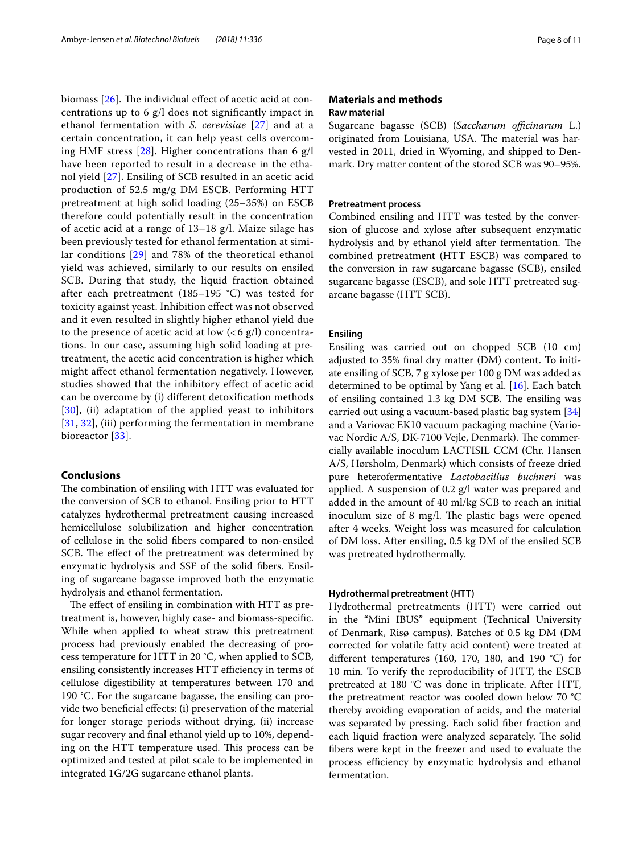biomass  $[26]$  $[26]$ . The individual effect of acetic acid at concentrations up to 6 g/l does not signifcantly impact in ethanol fermentation with *S. cerevisiae* [[27\]](#page-9-25) and at a certain concentration, it can help yeast cells overcoming HMF stress [[28\]](#page-10-0). Higher concentrations than 6 g/l have been reported to result in a decrease in the ethanol yield [[27](#page-9-25)]. Ensiling of SCB resulted in an acetic acid production of 52.5 mg/g DM ESCB. Performing HTT pretreatment at high solid loading (25–35%) on ESCB therefore could potentially result in the concentration of acetic acid at a range of 13–18 g/l. Maize silage has been previously tested for ethanol fermentation at similar conditions [\[29](#page-10-1)] and 78% of the theoretical ethanol yield was achieved, similarly to our results on ensiled SCB. During that study, the liquid fraction obtained after each pretreatment (185–195 °C) was tested for toxicity against yeast. Inhibition efect was not observed and it even resulted in slightly higher ethanol yield due to the presence of acetic acid at low  $\left($  < 6 g/l) concentrations. In our case, assuming high solid loading at pretreatment, the acetic acid concentration is higher which might afect ethanol fermentation negatively. However, studies showed that the inhibitory efect of acetic acid can be overcome by (i) diferent detoxifcation methods [[30](#page-10-2)], (ii) adaptation of the applied yeast to inhibitors [[31](#page-10-3), [32](#page-10-4)], (iii) performing the fermentation in membrane bioreactor [[33](#page-10-5)].

## **Conclusions**

The combination of ensiling with HTT was evaluated for the conversion of SCB to ethanol. Ensiling prior to HTT catalyzes hydrothermal pretreatment causing increased hemicellulose solubilization and higher concentration of cellulose in the solid fbers compared to non-ensiled SCB. The effect of the pretreatment was determined by enzymatic hydrolysis and SSF of the solid fbers. Ensiling of sugarcane bagasse improved both the enzymatic hydrolysis and ethanol fermentation.

The effect of ensiling in combination with HTT as pretreatment is, however, highly case- and biomass-specifc. While when applied to wheat straw this pretreatment process had previously enabled the decreasing of process temperature for HTT in 20 °C, when applied to SCB, ensiling consistently increases HTT efficiency in terms of cellulose digestibility at temperatures between 170 and 190 °C. For the sugarcane bagasse, the ensiling can provide two beneficial effects: (i) preservation of the material for longer storage periods without drying, (ii) increase sugar recovery and fnal ethanol yield up to 10%, depending on the HTT temperature used. This process can be optimized and tested at pilot scale to be implemented in integrated 1G/2G sugarcane ethanol plants.

## **Materials and methods Raw material**

Sugarcane bagasse (SCB) (*Saccharum officinarum L.*) originated from Louisiana, USA. The material was harvested in 2011, dried in Wyoming, and shipped to Denmark. Dry matter content of the stored SCB was 90–95%.

## **Pretreatment process**

Combined ensiling and HTT was tested by the conversion of glucose and xylose after subsequent enzymatic hydrolysis and by ethanol yield after fermentation. The combined pretreatment (HTT ESCB) was compared to the conversion in raw sugarcane bagasse (SCB), ensiled sugarcane bagasse (ESCB), and sole HTT pretreated sugarcane bagasse (HTT SCB).

## **Ensiling**

Ensiling was carried out on chopped SCB (10 cm) adjusted to 35% fnal dry matter (DM) content. To initiate ensiling of SCB, 7 g xylose per 100 g DM was added as determined to be optimal by Yang et al. [[16\]](#page-9-26). Each batch of ensiling contained 1.3 kg DM SCB. The ensiling was carried out using a vacuum-based plastic bag system [[34](#page-10-6)] and a Variovac EK10 vacuum packaging machine (Variovac Nordic A/S, DK-7100 Vejle, Denmark). The commercially available inoculum LACTISIL CCM (Chr. Hansen A/S, Hørsholm, Denmark) which consists of freeze dried pure heterofermentative *Lactobacillus buchneri* was applied. A suspension of 0.2 g/l water was prepared and added in the amount of 40 ml/kg SCB to reach an initial inoculum size of 8 mg/l. The plastic bags were opened after 4 weeks. Weight loss was measured for calculation of DM loss. After ensiling, 0.5 kg DM of the ensiled SCB was pretreated hydrothermally.

## **Hydrothermal pretreatment (HTT)**

Hydrothermal pretreatments (HTT) were carried out in the "Mini IBUS" equipment (Technical University of Denmark, Risø campus). Batches of 0.5 kg DM (DM corrected for volatile fatty acid content) were treated at diferent temperatures (160, 170, 180, and 190 °C) for 10 min. To verify the reproducibility of HTT, the ESCB pretreated at 180 °C was done in triplicate. After HTT, the pretreatment reactor was cooled down below 70 °C thereby avoiding evaporation of acids, and the material was separated by pressing. Each solid fiber fraction and each liquid fraction were analyzed separately. The solid fbers were kept in the freezer and used to evaluate the process efficiency by enzymatic hydrolysis and ethanol fermentation.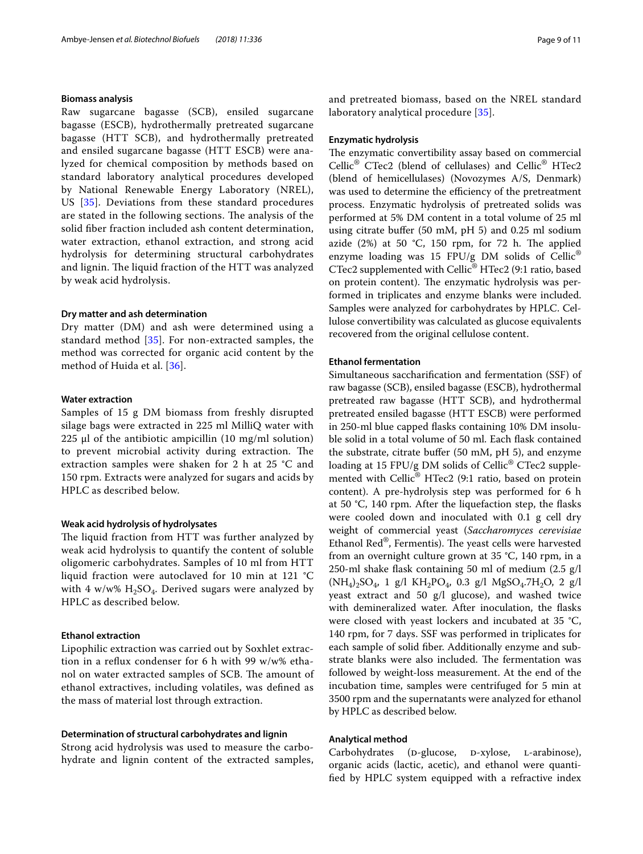## **Biomass analysis**

Raw sugarcane bagasse (SCB), ensiled sugarcane bagasse (ESCB), hydrothermally pretreated sugarcane bagasse (HTT SCB), and hydrothermally pretreated and ensiled sugarcane bagasse (HTT ESCB) were analyzed for chemical composition by methods based on standard laboratory analytical procedures developed by National Renewable Energy Laboratory (NREL), US [[35\]](#page-10-7). Deviations from these standard procedures are stated in the following sections. The analysis of the solid fber fraction included ash content determination, water extraction, ethanol extraction, and strong acid hydrolysis for determining structural carbohydrates and lignin. The liquid fraction of the HTT was analyzed by weak acid hydrolysis.

## **Dry matter and ash determination**

Dry matter (DM) and ash were determined using a standard method [[35](#page-10-7)]. For non-extracted samples, the method was corrected for organic acid content by the method of Huida et al. [[36\]](#page-10-8).

## **Water extraction**

Samples of 15 g DM biomass from freshly disrupted silage bags were extracted in 225 ml MilliQ water with 225  $\mu$ l of the antibiotic ampicillin (10 mg/ml solution) to prevent microbial activity during extraction. The extraction samples were shaken for 2 h at 25 °C and 150 rpm. Extracts were analyzed for sugars and acids by HPLC as described below.

## **Weak acid hydrolysis of hydrolysates**

The liquid fraction from HTT was further analyzed by weak acid hydrolysis to quantify the content of soluble oligomeric carbohydrates. Samples of 10 ml from HTT liquid fraction were autoclaved for 10 min at 121 °C with 4 w/w%  $H_2SO_4$ . Derived sugars were analyzed by HPLC as described below.

## **Ethanol extraction**

Lipophilic extraction was carried out by Soxhlet extraction in a refux condenser for 6 h with 99 w/w% ethanol on water extracted samples of SCB. The amount of ethanol extractives, including volatiles, was defned as the mass of material lost through extraction.

## **Determination of structural carbohydrates and lignin**

Strong acid hydrolysis was used to measure the carbohydrate and lignin content of the extracted samples, and pretreated biomass, based on the NREL standard laboratory analytical procedure [[35\]](#page-10-7).

## **Enzymatic hydrolysis**

The enzymatic convertibility assay based on commercial Cellic® CTec2 (blend of cellulases) and Cellic® HTec2 (blend of hemicellulases) (Novozymes A/S, Denmark) was used to determine the efficiency of the pretreatment process. Enzymatic hydrolysis of pretreated solids was performed at 5% DM content in a total volume of 25 ml using citrate bufer (50 mM, pH 5) and 0.25 ml sodium azide (2%) at 50  $°C$ , 150 rpm, for 72 h. The applied enzyme loading was 15 FPU/g DM solids of Cellic<sup>®</sup> CTec2 supplemented with Cellic<sup>®</sup> HTec2 (9:1 ratio, based on protein content). The enzymatic hydrolysis was performed in triplicates and enzyme blanks were included. Samples were analyzed for carbohydrates by HPLC. Cellulose convertibility was calculated as glucose equivalents recovered from the original cellulose content.

## **Ethanol fermentation**

Simultaneous saccharifcation and fermentation (SSF) of raw bagasse (SCB), ensiled bagasse (ESCB), hydrothermal pretreated raw bagasse (HTT SCB), and hydrothermal pretreated ensiled bagasse (HTT ESCB) were performed in 250-ml blue capped fasks containing 10% DM insoluble solid in a total volume of 50 ml. Each fask contained the substrate, citrate bufer (50 mM, pH 5), and enzyme loading at 15 FPU/g DM solids of Cellic® CTec2 supplemented with Cellic® HTec2 (9:1 ratio, based on protein content). A pre-hydrolysis step was performed for 6 h at 50 °C, 140 rpm. After the liquefaction step, the fasks were cooled down and inoculated with 0.1 g cell dry weight of commercial yeast (*Saccharomyces cerevisiae* Ethanol Red<sup>®</sup>, Fermentis). The yeast cells were harvested from an overnight culture grown at 35 °C, 140 rpm, in a 250-ml shake fask containing 50 ml of medium (2.5 g/l  $(NH_4)_2SO_4$ , 1 g/l  $KH_2PO_4$ , 0.3 g/l MgSO<sub>4</sub>.7H<sub>2</sub>O, 2 g/l yeast extract and 50 g/l glucose), and washed twice with demineralized water. After inoculation, the fasks were closed with yeast lockers and incubated at 35 °C, 140 rpm, for 7 days. SSF was performed in triplicates for each sample of solid fber. Additionally enzyme and substrate blanks were also included. The fermentation was followed by weight-loss measurement. At the end of the incubation time, samples were centrifuged for 5 min at 3500 rpm and the supernatants were analyzed for ethanol by HPLC as described below.

#### **Analytical method**

Carbohydrates (D-glucose, D-xylose, L-arabinose), organic acids (lactic, acetic), and ethanol were quantifed by HPLC system equipped with a refractive index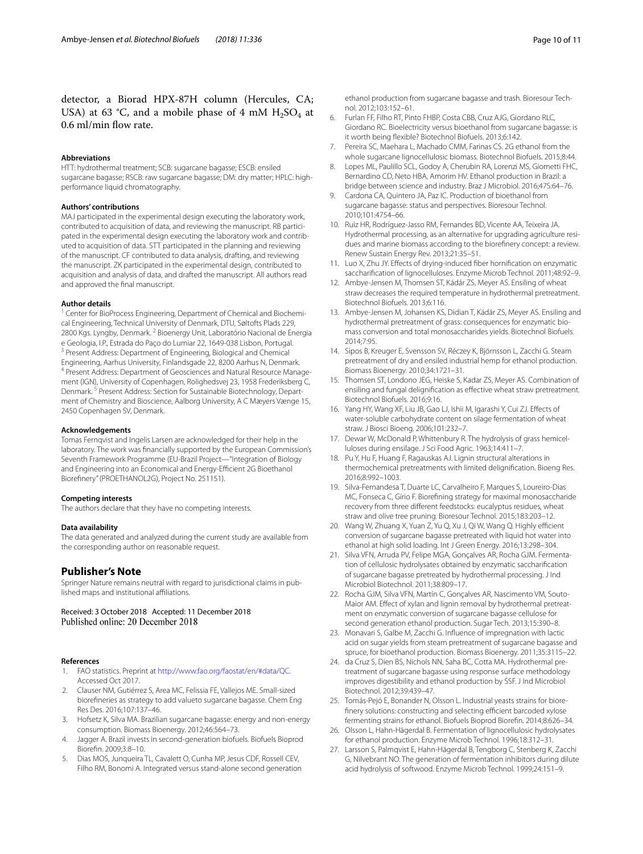detector, a Biorad HPX-87H column (Hercules, CA; USA) at 63 °C, and a mobile phase of 4 mM  $H_2SO_4$  at 0.6 ml/min flow rate.

#### **Abbreviations**

HTT: hydrothermal treatment; SCB: sugarcane bagasse; ESCB: ensiled sugarcane bagasse; RSCB: raw sugarcane bagasse; DM: dry matter; HPLC: highperformance liquid chromatography.

#### **Authors' contributions**

MAJ participated in the experimental design executing the laboratory work, contributed to acquisition of data, and reviewing the manuscript. RB participated in the experimental design executing the laboratory work and contributed to acquisition of data. STT participated in the planning and reviewing of the manuscript. CF contributed to data analysis, drafting, and reviewing the manuscript. ZK participated in the experimental design, contributed to acquisition and analysis of data, and drafted the manuscript. All authors read and approved the fnal manuscript.

#### **Author details**

<sup>1</sup> Center for BioProcess Engineering, Department of Chemical and Biochemical Engineering, Technical University of Denmark, DTU, Søltofts Plads 229, 2800 Kgs. Lyngby, Denmark. <sup>2</sup> Bioenergy Unit, Laboratório Nacional de Energia e Geologia, I.P., Estrada do Paço do Lumiar 22, 1649-038 Lisbon, Portugal.<br><sup>3</sup> Present Address: Department of Engineering, Biological and Chemical Engineering, Aarhus University, Finlandsgade 22, 8200 Aarhus N, Denmark. <sup>4</sup> Present Address: Department of Geosciences and Natural Resource Management (IGN), University of Copenhagen, Rolighedsvej 23, 1958 Frederiksberg C, Denmark.<sup>5</sup> Present Address: Section for Sustainable Biotechnology, Department of Chemistry and Bioscience, Aalborg University, A C Mæyers Vænge 15, 2450 Copenhagen SV, Denmark.

#### **Acknowledgements**

Tomas Fernqvist and Ingelis Larsen are acknowledged for their help in the laboratory. The work was fnancially supported by the European Commission's Seventh Framework Programme (EU-Brazil Project—"Integration of Biology and Engineering into an Economical and Energy-Efficient 2G Bioethanol Biorefnery" (PROETHANOL2G), Project No. 251151).

#### **Competing interests**

The authors declare that they have no competing interests.

#### **Data availability**

The data generated and analyzed during the current study are available from the corresponding author on reasonable request.

## **Publisher's Note**

Springer Nature remains neutral with regard to jurisdictional claims in published maps and institutional afliations.

Received: 3 October 2018 Accepted: 11 December 2018

#### **References**

- <span id="page-9-0"></span>1. FAO statistics. Preprint at<http://www.fao.org/faostat/en/#data/QC>. Accessed Oct 2017.
- <span id="page-9-1"></span>2. Clauser NM, Gutiérrez S, Area MC, Felissia FE, Vallejos ME. Small-sized biorefneries as strategy to add valueto sugarcane bagasse. Chem Eng Res Des. 2016;107:137–46.
- <span id="page-9-2"></span>3. Hofsetz K, Silva MA. Brazilian sugarcane bagasse: energy and non-energy consumption. Biomass Bioenergy. 2012;46:564–73.
- <span id="page-9-3"></span>4. Jagger A. Brazil invests in second-generation biofuels. Biofuels Bioprod Biorefn. 2009;3:8–10.
- <span id="page-9-4"></span>5. Dias MOS, Junqueira TL, Cavalett O, Cunha MP, Jesus CDF, Rossell CEV, Filho RM, Bonomi A. Integrated versus stand-alone second generation

ethanol production from sugarcane bagasse and trash. Bioresour Technol. 2012;103:152–61.

- <span id="page-9-5"></span>6. Furlan FF, Filho RT, Pinto FHBP, Costa CBB, Cruz AJG, Giordano RLC, Giordano RC. Bioelectricity versus bioethanol from sugarcane bagasse: is it worth being fexible? Biotechnol Biofuels. 2013;6:142.
- <span id="page-9-6"></span>7. Pereira SC, Maehara L, Machado CMM, Farinas CS. 2G ethanol from the whole sugarcane lignocellulosic biomass. Biotechnol Biofuels. 2015;8:44.
- <span id="page-9-7"></span>8. Lopes ML, Paulillo SCL, Godoy A, Cherubin RA, Lorenzi MS, Giometti FHC, Bernardino CD, Neto HBA, Amorim HV. Ethanol production in Brazil: a bridge between science and industry. Braz J Microbiol. 2016;47S:64–76.
- <span id="page-9-8"></span>9. Cardona CA, Quintero JA, Paz IC. Production of bioethanol from sugarcane bagasse: status and perspectives. Bioresour Technol. 2010;101:4754–66.
- <span id="page-9-9"></span>10. Ruiz HR, Rodríguez-Jasso RM, Fernandes BD, Vicente AA, Teixeira JA. Hydrothermal processing, as an alternative for upgrading agriculture residues and marine biomass according to the biorefnery concept: a review. Renew Sustain Energy Rev. 2013;21:35–51.
- <span id="page-9-10"></span>11. Luo X, Zhu JY. Efects of drying-induced fber hornifcation on enzymatic saccharifcation of lignocelluloses. Enzyme Microb Technol. 2011;48:92–9.
- <span id="page-9-11"></span>12. Ambye-Jensen M, Thomsen ST, Kádár ZS, Meyer AS. Ensiling of wheat straw decreases the required temperature in hydrothermal pretreatment. Biotechnol Biofuels. 2013;6:116.
- <span id="page-9-14"></span>13. Ambye-Jensen M, Johansen KS, Didian T, Kádár ZS, Meyer AS. Ensiling and hydrothermal pretreatment of grass: consequences for enzymatic biomass conversion and total monosaccharides yields. Biotechnol Biofuels. 2014;7:95.
- <span id="page-9-13"></span>14. Sipos B, Kreuger E, Svensson SV, Réczey K, Björnsson L, Zacchi G. Steam pretreatment of dry and ensiled industrial hemp for ethanol production. Biomass Bioenergy. 2010;34:1721–31.
- <span id="page-9-12"></span>15. Thomsen ST, Londono JEG, Heiske S, Kadar ZS, Meyer AS. Combination of ensiling and fungal delignifcation as efective wheat straw pretreatment. Biotechnol Biofuels. 2016;9:16.
- <span id="page-9-26"></span>16. Yang HY, Wang XF, Liu JB, Gao LJ, Ishii M, Igarashi Y, Cui ZJ. Efects of water-soluble carbohydrate content on silage fermentation of wheat straw. J Biosci Bioeng. 2006;101:232–7.
- <span id="page-9-15"></span>17. Dewar W, McDonald P, Whittenbury R. The hydrolysis of grass hemicelluloses during ensilage. J Sci Food Agric. 1963;14:411–7.
- <span id="page-9-16"></span>18. Pu Y, Hu F, Huang F, Ragauskas AJ. Lignin structural alterations in thermochemical pretreatments with limited delignifcation. Bioeng Res. 2016;8:992–1003.
- <span id="page-9-17"></span>19. Silva-Fernandesa T, Duarte LC, Carvalheiro F, Marques S, Loureiro-Dias MC, Fonseca C, Gírio F. Biorefning strategy for maximal monosaccharide recovery from three diferent feedstocks: eucalyptus residues, wheat straw and olive tree pruning. Bioresour Technol. 2015;183:203–12.
- <span id="page-9-18"></span>20. Wang W, Zhuang X, Yuan Z, Yu Q, Xu J, Qi W, Wang Q. Highly efficient conversion of sugarcane bagasse pretreated with liquid hot water into ethanol at high solid loading. Int J Green Energy. 2016;13:298–304.
- <span id="page-9-19"></span>21. Silva VFN, Arruda PV, Felipe MGA, Gonçalves AR, Rocha GJM. Fermentation of cellulosic hydrolysates obtained by enzymatic saccharifcation of sugarcane bagasse pretreated by hydrothermal processing. J Ind Microbiol Biotechnol. 2011;38:809–17.
- <span id="page-9-20"></span>22. Rocha GJM, Silva VFN, Martín C, Gonçalves AR, Nascimento VM, Souto-Maior AM. Effect of xylan and lignin removal by hydrothermal pretreatment on enzymatic conversion of sugarcane bagasse cellulose for second generation ethanol production. Sugar Tech. 2013;15:390–8.
- <span id="page-9-21"></span>23. Monavari S, Galbe M, Zacchi G. Infuence of impregnation with lactic acid on sugar yields from steam pretreatment of sugarcane bagasse and spruce, for bioethanol production. Biomass Bioenergy. 2011;35:3115–22.
- <span id="page-9-22"></span>24. da Cruz S, Dien BS, Nichols NN, Saha BC, Cotta MA. Hydrothermal pretreatment of sugarcane bagasse using response surface methodology improves digestibility and ethanol production by SSF. J Ind Microbiol Biotechnol. 2012;39:439–47.
- <span id="page-9-23"></span>25. Tomás-Pejó E, Bonander N, Olsson L. Industrial yeasts strains for biorefinery solutions: constructing and selecting efficient barcoded xylose fermenting strains for ethanol. Biofuels Bioprod Biorefn. 2014;8:626–34.
- <span id="page-9-24"></span>26. Olsson L, Hahn-Hägerdal B. Fermentation of lignocellulosic hydrolysates for ethanol production. Enzyme Microb Technol. 1996;18:312–31.
- <span id="page-9-25"></span>27. Larsson S, Palmqvist E, Hahn-Hägerdal B, Tengborg C, Stenberg K, Zacchi G, Nilvebrant NO. The generation of fermentation inhibitors during dilute acid hydrolysis of softwood. Enzyme Microb Technol. 1999;24:151–9.